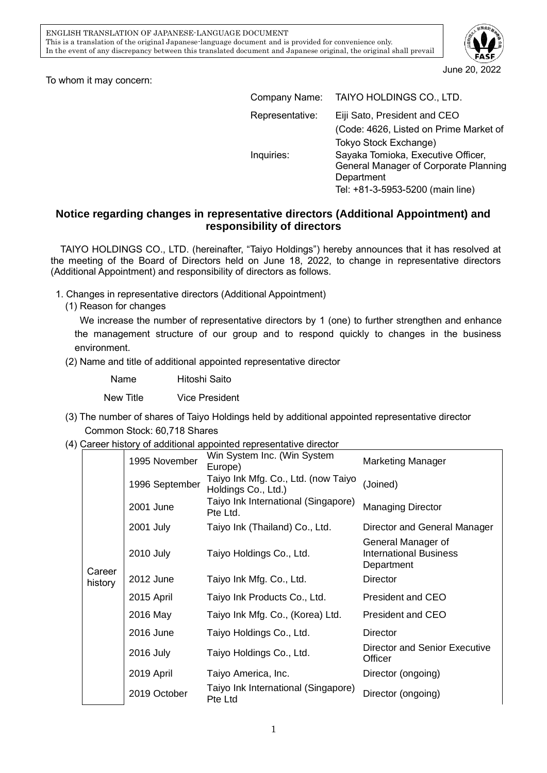

June 20, 2022

To whom it may concern:

| Company Name:   | TAIYO HOLDINGS CO., LTD.                                                                                                                               |
|-----------------|--------------------------------------------------------------------------------------------------------------------------------------------------------|
| Representative: | Eiji Sato, President and CEO<br>(Code: 4626, Listed on Prime Market of                                                                                 |
| Inquiries:      | Tokyo Stock Exchange)<br>Sayaka Tomioka, Executive Officer,<br>General Manager of Corporate Planning<br>Department<br>Tel: +81-3-5953-5200 (main line) |

## **Notice regarding changes in representative directors (Additional Appointment) and responsibility of directors**

TAIYO HOLDINGS CO., LTD. (hereinafter, "Taiyo Holdings") hereby announces that it has resolved at the meeting of the Board of Directors held on June 18, 2022, to change in representative directors (Additional Appointment) and responsibility of directors as follows.

- 1. Changes in representative directors (Additional Appointment)
	- (1) Reason for changes

We increase the number of representative directors by 1 (one) to further strengthen and enhance the management structure of our group and to respond quickly to changes in the business environment.

(2) Name and title of additional appointed representative director

| Name |  | Hitoshi Saito |  |
|------|--|---------------|--|
|      |  | $\sim$        |  |

New Title Vice President

- (3) The number of shares of Taiyo Holdings held by additional appointed representative director Common Stock: 60,718 Shares
- (4) Career history of additional appointed representative director

|         | 1995 November  | Win System Inc. (Win System<br>Europe)                     | <b>Marketing Manager</b>                                          |
|---------|----------------|------------------------------------------------------------|-------------------------------------------------------------------|
|         | 1996 September | Taiyo Ink Mfg. Co., Ltd. (now Taiyo<br>Holdings Co., Ltd.) | (Joined)                                                          |
|         | 2001 June      | Taiyo Ink International (Singapore)<br>Pte Ltd.            | <b>Managing Director</b>                                          |
|         | 2001 July      | Taiyo Ink (Thailand) Co., Ltd.                             | Director and General Manager                                      |
| Career  | 2010 July      | Taiyo Holdings Co., Ltd.                                   | General Manager of<br><b>International Business</b><br>Department |
| history | 2012 June      | Taiyo Ink Mfg. Co., Ltd.                                   | <b>Director</b>                                                   |
|         | 2015 April     | Taiyo Ink Products Co., Ltd.                               | President and CEO                                                 |
|         | 2016 May       | Taiyo Ink Mfg. Co., (Korea) Ltd.                           | President and CEO                                                 |
|         | 2016 June      | Taiyo Holdings Co., Ltd.                                   | Director                                                          |
|         | 2016 July      | Taiyo Holdings Co., Ltd.                                   | Director and Senior Executive<br>Officer                          |
|         | 2019 April     | Taiyo America, Inc.                                        | Director (ongoing)                                                |
|         | 2019 October   | Taiyo Ink International (Singapore)<br>Pte Ltd             | Director (ongoing)                                                |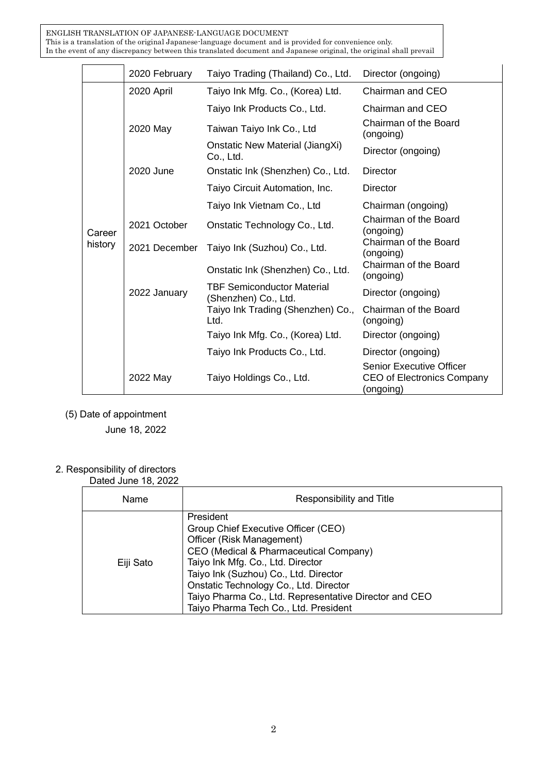ENGLISH TRANSLATION OF JAPANESE-LANGUAGE DOCUMENT This is a translation of the original Japanese-language document and is provided for convenience only. In the event of any discrepancy between this translated document and Japanese original, the original shall prevail

|                   | 2020 February | Taiyo Trading (Thailand) Co., Ltd.                        | Director (ongoing)                                                         |
|-------------------|---------------|-----------------------------------------------------------|----------------------------------------------------------------------------|
|                   | 2020 April    | Taiyo Ink Mfg. Co., (Korea) Ltd.                          | Chairman and CEO                                                           |
|                   |               | Taiyo Ink Products Co., Ltd.                              | Chairman and CEO                                                           |
|                   | 2020 May      | Taiwan Taiyo Ink Co., Ltd                                 | Chairman of the Board<br>(ongoing)                                         |
|                   |               | Onstatic New Material (JiangXi)<br>Co., Ltd.              | Director (ongoing)                                                         |
|                   | 2020 June     | Onstatic Ink (Shenzhen) Co., Ltd.                         | <b>Director</b>                                                            |
| Career<br>history |               | Taiyo Circuit Automation, Inc.                            | Director                                                                   |
|                   |               | Taiyo Ink Vietnam Co., Ltd                                | Chairman (ongoing)                                                         |
|                   | 2021 October  | Onstatic Technology Co., Ltd.                             | Chairman of the Board<br>(ongoing)                                         |
|                   | 2021 December | Taiyo Ink (Suzhou) Co., Ltd.                              | Chairman of the Board<br>(ongoing)                                         |
|                   |               | Onstatic Ink (Shenzhen) Co., Ltd.                         | Chairman of the Board<br>(ongoing)                                         |
|                   | 2022 January  | <b>TBF Semiconductor Material</b><br>(Shenzhen) Co., Ltd. | Director (ongoing)                                                         |
|                   |               | Taiyo Ink Trading (Shenzhen) Co.,<br>Ltd.                 | Chairman of the Board<br>(ongoing)                                         |
|                   |               | Taiyo Ink Mfg. Co., (Korea) Ltd.                          | Director (ongoing)                                                         |
|                   |               | Taiyo Ink Products Co., Ltd.                              | Director (ongoing)                                                         |
|                   | 2022 May      | Taiyo Holdings Co., Ltd.                                  | <b>Senior Executive Officer</b><br>CEO of Electronics Company<br>(ongoing) |

(5) Date of appointment

June 18, 2022

## 2. Responsibility of directors

Dated June 18, 2022

| <u>Datoa oario 10, Eurr</u> |                                                                                                                                                                                                                                                                                                                                                    |
|-----------------------------|----------------------------------------------------------------------------------------------------------------------------------------------------------------------------------------------------------------------------------------------------------------------------------------------------------------------------------------------------|
| Name                        | Responsibility and Title                                                                                                                                                                                                                                                                                                                           |
| Eiji Sato                   | President<br>Group Chief Executive Officer (CEO)<br>Officer (Risk Management)<br>CEO (Medical & Pharmaceutical Company)<br>Taiyo Ink Mfg. Co., Ltd. Director<br>Taiyo Ink (Suzhou) Co., Ltd. Director<br>Onstatic Technology Co., Ltd. Director<br>Taiyo Pharma Co., Ltd. Representative Director and CEO<br>Taiyo Pharma Tech Co., Ltd. President |